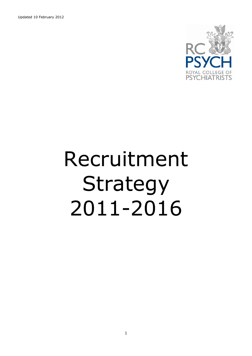Updated 10 February 2012



# Recruitment Strategy 2011-2016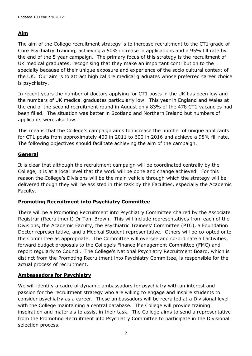## **Aim**

The aim of the College recruitment strategy is to increase recruitment to the CT1 grade of Core Psychiatry Training, achieving a 50% increase in applications and a 95% fill rate by the end of the 5 year campaign. The primary focus of this strategy is the recruitment of UK medical graduates, recognising that they make an important contribution to the specialty because of their unique exposure and experience of the socio cultural context of the UK. Our aim is to attract high calibre medical graduates whose preferred career choice is psychiatry.

In recent years the number of doctors applying for CT1 posts in the UK has been low and the numbers of UK medical graduates particularly low. This year in England and Wales at the end of the second recruitment round in August only 83% of the 478 CT1 vacancies had been filled. The situation was better in Scotland and Northern Ireland but numbers of applicants were also low.

This means that the College's campaign aims to increase the number of unique applicants for CT1 posts from approximately 400 in 2011 to 600 in 2016 and achieve a 95% fill rate. The following objectives should facilitate achieving the aim of the campaign.

## **General**

It is clear that although the recruitment campaign will be coordinated centrally by the College, it is at a local level that the work will be done and change achieved. For this reason the College's Divisions will be the main vehicle through which the strategy will be delivered though they will be assisted in this task by the Faculties, especially the Academic Faculty.

## **Promoting Recruitment into Psychiatry Committee**

There will be a Promoting Recruitment into Psychiatry Committee chaired by the Associate Registrar (Recruitment) Dr Tom Brown. This will include representatives from each of the Divisions, the Academic Faculty, the Psychiatric Trainees' Committee (PTC), a Foundation Doctor representative, and a Medical Student representative. Others will be co-opted onto the Committee as appropriate. The Committee will oversee and co-ordinate all activities, forward budget proposals to the College's Finance Management Committee (FMC) and report regularly to Council. The College's National Psychiatry Recruitment Board, which is distinct from the Promoting Recruitment into Psychiatry Committee, is responsible for the actual process of recruitment.

## **Ambassadors for Psychiatry**

We will identify a cadre of dynamic ambassadors for psychiatry with an interest and passion for the recruitment strategy who are willing to engage and inspire students to consider psychiatry as a career. These ambassadors will be recruited at a Divisional level with the College maintaining a central database. The College will provide training inspiration and materials to assist in their task. The College aims to send a representative from the Promoting Recruitment into Psychiatry Committee to participate in the Divisional selection process.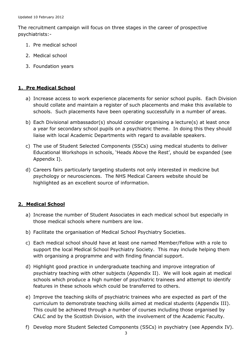The recruitment campaign will focus on three stages in the career of prospective psychiatrists:-

- 1. Pre medical school
- 2. Medical school
- 3. Foundation years

#### **1. Pre Medical School**

- a) Increase access to work experience placements for senior school pupils. Each Division should collate and maintain a register of such placements and make this available to schools. Such placements have been operating successfully in a number of areas.
- b) Each Divisional ambassador(s) should consider organising a lecture(s) at least once a year for secondary school pupils on a psychiatric theme. In doing this they should liaise with local Academic Departments with regard to available speakers.
- c) The use of Student Selected Components (SSCs) using medical students to deliver Educational Workshops in schools, 'Heads Above the Rest', should be expanded (see Appendix I).
- d) Careers fairs particularly targeting students not only interested in medicine but psychology or neurosciences. The NHS Medical Careers website should be highlighted as an excellent source of information.

#### **2. Medical School**

- a) Increase the number of Student Associates in each medical school but especially in those medical schools where numbers are low.
- b) Facilitate the organisation of Medical School Psychiatry Societies.
- c) Each medical school should have at least one named Member/Fellow with a role to support the local Medical School Psychiatry Society. This may include helping them with organising a programme and with finding financial support.
- d) Highlight good practice in undergraduate teaching and improve integration of psychiatry teaching with other subjects (Appendix II). We will look again at medical schools which produce a high number of psychiatric trainees and attempt to identify features in these schools which could be transferred to others.
- e) Improve the teaching skills of psychiatric trainees who are expected as part of the curriculum to demonstrate teaching skills aimed at medical students (Appendix III). This could be achieved through a number of courses including those organised by CALC and by the Scottish Division, with the involvement of the Academic Faculty.
- f) Develop more Student Selected Components (SSCs) in psychiatry (see Appendix IV).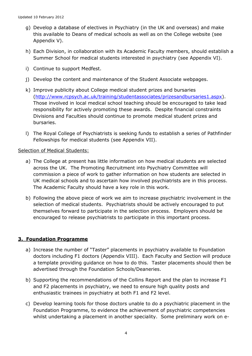- g) Develop a database of electives in Psychiatry (in the UK and overseas) and make this available to Deans of medical schools as well as on the College website (see Appendix V).
- h) Each Division, in collaboration with its Academic Faculty members, should establish a Summer School for medical students interested in psychiatry (see Appendix VI).
- i) Continue to support Medfest.
- j) Develop the content and maintenance of the Student Associate webpages.
- k) Improve publicity about College medical student prizes and bursaries [\(http://www.rcpsych.ac.uk/training/studentassociates/prizesandbursaries1.aspx\)](http://www.rcpsych.ac.uk/training/studentassociates/prizesandbursaries1.aspx). Those involved in local medical school teaching should be encouraged to take lead responsibility for actively promoting these awards. Despite financial constraints Divisions and Faculties should continue to promote medical student prizes and bursaries.
- l) The Royal College of Psychiatrists is seeking funds to establish a series of Pathfinder Fellowships for medical students (see Appendix VII).

#### Selection of Medical Students:

- a) The College at present has little information on how medical students are selected across the UK. The Promoting Recruitment into Psychiatry Committee will commission a piece of work to gather information on how students are selected in UK medical schools and to ascertain how involved psychiatrists are in this process. The Academic Faculty should have a key role in this work.
- b) Following the above piece of work we aim to increase psychiatric involvement in the selection of medical students. Psychiatrists should be actively encouraged to put themselves forward to participate in the selection process. Employers should be encouraged to release psychiatrists to participate in this important process.

#### **3. Foundation Programme**

- a) Increase the number of "Taster" placements in psychiatry available to Foundation doctors including F1 doctors (Appendix VIII). Each Faculty and Section will produce a template providing guidance on how to do this. Taster placements should then be advertised through the Foundation Schools/Deaneries.
- b) Supporting the recommendations of the Collins Report and the plan to increase F1 and F2 placements in psychiatry, we need to ensure high quality posts and enthusiastic trainees in psychiatry at both F1 and F2 level.
- c) Develop learning tools for those doctors unable to do a psychiatric placement in the Foundation Programme, to evidence the achievement of psychiatric competencies whilst undertaking a placement in another speciality. Some preliminary work on e-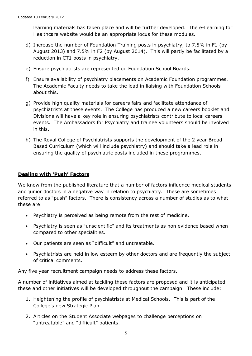learning materials has taken place and will be further developed. The e-Learning for Healthcare website would be an appropriate locus for these modules.

- d) Increase the number of Foundation Training posts in psychiatry, to 7.5% in F1 (by August 2013) and 7.5% in F2 (by August 2014). This will partly be facilitated by a reduction in CT1 posts in psychiatry.
- e) Ensure psychiatrists are represented on Foundation School Boards.
- f) Ensure availability of psychiatry placements on Academic Foundation programmes. The Academic Faculty needs to take the lead in liaising with Foundation Schools about this.
- g) Provide high quality materials for careers fairs and facilitate attendance of psychiatrists at these events. The College has produced a new careers booklet and Divisions will have a key role in ensuring psychiatrists contribute to local careers events. The Ambassadors for Psychiatry and trainee volunteers should be involved in this.
- h) The Royal College of Psychiatrists supports the development of the 2 year Broad Based Curriculum (which will include psychiatry) and should take a lead role in ensuring the quality of psychiatric posts included in these programmes.

#### **Dealing with 'Push' Factors**

We know from the published literature that a number of factors influence medical students and junior doctors in a negative way in relation to psychiatry. These are sometimes referred to as "push" factors. There is consistency across a number of studies as to what these are:

- Psychiatry is perceived as being remote from the rest of medicine.  $\bullet$
- Psychiatry is seen as "unscientific" and its treatments as non evidence based when compared to other specialities.
- Our patients are seen as "difficult" and untreatable.
- Psychiatrists are held in low esteem by other doctors and are frequently the subject of critical comments.

Any five year recruitment campaign needs to address these factors.

A number of initiatives aimed at tackling these factors are proposed and it is anticipated these and other initiatives will be developed throughout the campaign. These include:

- 1. Heightening the profile of psychiatrists at Medical Schools. This is part of the College's new Strategic Plan.
- 2. Articles on the Student Associate webpages to challenge perceptions on "untreatable" and "difficult" patients.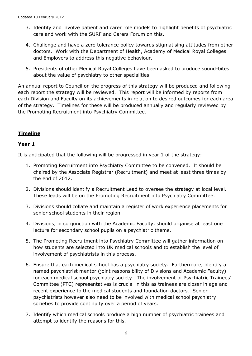- 3. Identify and involve patient and carer role models to highlight benefits of psychiatric care and work with the SURF and Carers Forum on this.
- 4. Challenge and have a zero tolerance policy towards stigmatising attitudes from other doctors. Work with the Department of Health, Academy of Medical Royal Colleges and Employers to address this negative behaviour.
- 5. Presidents of other Medical Royal Colleges have been asked to produce sound-bites about the value of psychiatry to other specialities.

An annual report to Council on the progress of this strategy will be produced and following each report the strategy will be reviewed. This report will be informed by reports from each Division and Faculty on its achievements in relation to desired outcomes for each area of the strategy. Timelines for these will be produced annually and regularly reviewed by the Promoting Recruitment into Psychiatry Committee.

## **Timeline**

## **Year 1**

It is anticipated that the following will be progressed in year 1 of the strategy:

- 1. Promoting Recruitment into Psychiatry Committee to be convened. It should be chaired by the Associate Registrar (Recruitment) and meet at least three times by the end of 2012.
- 2. Divisions should identify a Recruitment Lead to oversee the strategy at local level. These leads will be on the Promoting Recruitment into Psychiatry Committee.
- 3. Divisions should collate and maintain a register of work experience placements for senior school students in their region.
- 4. Divisions, in conjunction with the Academic Faculty, should organise at least one lecture for secondary school pupils on a psychiatric theme.
- 5. The Promoting Recruitment into Psychiatry Committee will gather information on how students are selected into UK medical schools and to establish the level of involvement of psychiatrists in this process.
- 6. Ensure that each medical school has a psychiatry society. Furthermore, identify a named psychiatrist mentor (joint responsibility of Divisions and Academic Faculty) for each medical school psychiatry society. The involvement of Psychiatric Trainees' Committee (PTC) representatives is crucial in this as trainees are closer in age and recent experience to the medical students and foundation doctors. Senior psychiatrists however also need to be involved with medical school psychiatry societies to provide continuity over a period of years.
- 7. Identify which medical schools produce a high number of psychiatric trainees and attempt to identify the reasons for this.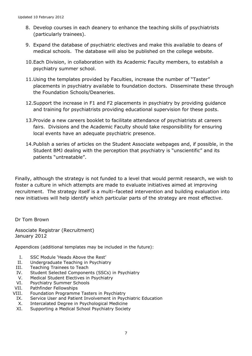- 8. Develop courses in each deanery to enhance the teaching skills of psychiatrists (particularly trainees).
- 9. Expand the database of psychiatric electives and make this available to deans of medical schools. The database will also be published on the college website.
- 10.Each Division, in collaboration with its Academic Faculty members, to establish a psychiatry summer school.
- 11.Using the templates provided by Faculties, increase the number of "Taster" placements in psychiatry available to foundation doctors. Disseminate these through the Foundation Schools/Deaneries.
- 12.Support the increase in F1 and F2 placements in psychiatry by providing guidance and training for psychiatrists providing educational supervision for these posts.
- 13.Provide a new careers booklet to facilitate attendance of psychiatrists at careers fairs. Divisions and the Academic Faculty should take responsibility for ensuring local events have an adequate psychiatric presence.
- 14.Publish a series of articles on the Student Associate webpages and, if possible, in the Student BMJ dealing with the perception that psychiatry is "unscientific" and its patients "untreatable".

Finally, although the strategy is not funded to a level that would permit research, we wish to foster a culture in which attempts are made to evaluate initiatives aimed at improving recruitment. The strategy itself is a multi–faceted intervention and building evaluation into new initiatives will help identify which particular parts of the strategy are most effective.

Dr Tom Brown

Associate Registrar (Recruitment) January 2012

Appendices (additional templates may be included in the future):

- I. SSC Module 'Heads Above the Rest'
- II. Undergraduate Teaching in Psychiatry
- III. Teaching Trainees to Teach
- IV. Student Selected Components (SSCs) in Psychiatry
- V. Medical Student Electives in Psychiatry
- VI. Psychiatry Summer Schools
- VII. Pathfinder Fellowships
- VIII. Foundation Programme Tasters in Psychiatry
	- IX. Service User and Patient Involvement in Psychiatric Education
	- X. Intercalated Degree in Psychological Medicine
	- XI. Supporting a Medical School Psychiatry Society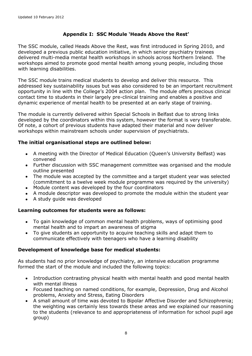## **Appendix I: SSC Module 'Heads Above the Rest'**

The SSC module, called Heads Above the Rest, was first introduced in Spring 2010, and developed a previous public education initiative, in which senior psychiatry trainees delivered multi-media mental health workshops in schools across Northern Ireland. The workshops aimed to promote good mental health among young people, including those with learning disabilities.

The SSC module trains medical students to develop and deliver this resource. This addressed key sustainability issues but was also considered to be an important recruitment opportunity in line with the College's 2004 action plan. The module offers precious clinical contact time to students in their largely pre-clinical training and enables a positive and dynamic experience of mental health to be presented at an early stage of training.

The module is currently delivered within Special Schools in Belfast due to strong links developed by the coordinators within this system, however the format is very transferable. Of note, a cohort of previous students have adapted their material and now deliver workshops within mainstream schools under supervision of psychiatrists.

#### **The initial organisational steps are outlined below:**

- A meeting with the Director of Medical Education (Queen's University Belfast) was convened
- Further discussion with SSC management committee was organised and the module outline presented
- The module was accepted by the committee and a target student year was selected (commitment to a twelve week module programme was required by the university)
- $\bullet$ Module content was developed by the four coordinators
- A module descriptor was developed to promote the module within the student year
- A study guide was developed

#### **Learning outcomes for students were as follows:**

- To gain knowledge of common mental health problems, ways of optimising good mental health and to impart an awareness of stigma
- To give students an opportunity to acquire teaching skills and adapt them to communicate effectively with teenagers who have a learning disability

#### **Development of knowledge base for medical students:**

As students had no prior knowledge of psychiatry, an intensive education programme formed the start of the module and included the following topics:

- Introduction contrasting physical health with mental health and good mental health with mental illness
- Focused teaching on named conditions, for example, Depression, Drug and Alcohol problems, Anxiety and Stress, Eating Disorders
- A small amount of time was devoted to Bipolar Affective Disorder and Schizophrenia;  $\bullet$ the weighting was certainly less towards these areas and we explained our reasoning to the students (relevance to and appropriateness of information for school pupil age group)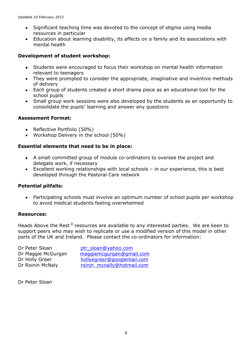- Significant teaching time was devoted to the concept of stigma using media  $\bullet$ resources in particular
- Education about learning disability, its affects on a family and its associations with mental health

## **Development of student workshop:**

- Students were encouraged to focus their workshop on mental health information  $\bullet$ relevant to teenagers
- They were prompted to consider the appropriate, imaginative and inventive methods of delivery
- Each group of students created a short drama piece as an educational tool for the school pupils
- Small group work sessions were also developed by the students as an opportunity to consolidate the pupils' learning and answer any questions

## **Assessment Format:**

- Reflective Portfolio (50%)
- Workshop Delivery in the school (50%)

## **Essential elements that need to be in place:**

- A small committed group of module co-ordinators to oversee the project and delegate work, if necessary
- Excellent working relationships with local schools in our experience, this is best developed through the Pastoral Care network

#### **Potential pitfalls:**

Participating schools must involve an optimum number of school pupils per workshop to avoid medical students feeling overwhelmed

#### **Resources:**

Heads Above the Rest <sup>©</sup> resources are available to any interested parties. We are keen to support peers who may wish to replicate or use a modified version of this model in other parts of the UK and Ireland. Please contact the co-ordinators for information:

Dr Peter Sloan btr sloan@yahoo.com

Dr Maggie McGurgan [maggiemcgurgan@gmail.com](mailto:maggiemcgurgan@gmail.com) Dr Holly Greer [hollyegreer@googlemail.com](mailto:hollyegreer@googlemail.com) Dr Roinin McNaly [roinin\\_mcnally@hotmail.com](mailto:roinin_mcnally@hotmail.com)

Dr Peter Sloan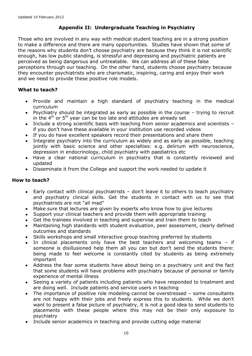## **Appendix II: Undergraduate Teaching in Psychiatry**

Those who are involved in any way with medical student teaching are in a strong position to make a difference and there are many opportunities. Studies have shown that some of the reasons why students don't choose psychiatry are because they think it is not scientific enough, has low public standing, is stressful and depressing and psychiatric patients are perceived as being dangerous and untreatable. We can address all of these false perceptions through our teaching. On the other hand, students choose psychiatry because they encounter psychiatrists who are charismatic, inspiring, caring and enjoy their work and we need to provide these positive role models.

## **What to teach?**

- Provide and maintain a high standard of psychiatry teaching in the medical curriculum
- Psychiatry should be integrated as early as possible in the course trying to recruit in the  $4<sup>th</sup>$  or  $5<sup>th</sup>$  year can be too late and attitudes are already set
- Include a strong scientific basis with teaching from senior academics and scientists if you don't have these available in your institution use recorded videos
- If you do have excellent speakers record their presentations and share them
- Integrate psychiatry into the curriculum as widely and as early as possible, teaching jointly with basic science and other specialties: e.g. delirium with neuroscience, depression in endocrinology, child psychiatry with paediatrics etc
- Have a clear national curriculum in psychiatry that is constantly reviewed and updated
- Disseminate it from the College and support the work needed to update it

## **How to teach?**

- Early contact with clinical psychiatrists don't leave it to others to teach psychiatry and psychiatry clinical skills. Get the students in contact with us to see that psychiatrists are not "all mad"
- Make sure that lectures are given by experts who know how to give lectures
- Support your clinical teachers and provide them with appropriate training
- Get the trainees involved in teaching and supervise and train them to teach
- Maintaining high standards with student evaluation, peer assessment, clearly defined outcomes and standards
- Skills workshops and small interactive group teaching preferred by students
- In clinical placements only have the best teachers and welcoming teams if someone is disillusioned help them all you can but don't send the students there: being made to feel welcome is constantly cited by students as being extremely important
- Address the fear some students have about being on a psychiatry unit and the fact  $\bullet$ that some students will have problems with psychiatry because of personal or family experience of mental illness
- Seeing a variety of patients including patients who have responded to treatment and  $\bullet$ are doing well. Include patients and service users in teaching
- The importance of positive role modeling cannot be overstressed some consultants  $\bullet$ are not happy with their jobs and freely express this to students. While we don't want to present a false picture of psychiatry, it is not a good idea to send students to placements with these people where this may not be their only exposure to psychiatry
- Include senior academics in teaching and provide cutting edge material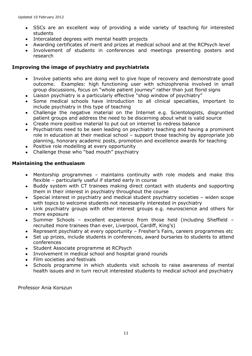- SSCs are an excellent way of providing a wide variety of teaching for interested students
- Intercalated degrees with mental health projects
- Awarding certificates of merit and prizes at medical school and at the RCPsych level
- Involvement of students in conferences and meetings presenting posters and research

## **Improving the image of psychiatry and psychiatrists**

- Involve patients who are doing well to give hope of recovery and demonstrate good  $\bullet$ outcome. Examples: high functioning user with schizophrenia involved in small group discussions, focus on "whole patient journey" rather than just florid signs
- Liaison psychiatry is a particularly effective "shop window of psychiatry"  $\bullet$
- Some medical schools have introduction to all clinical specialties, important to include psychiatry in this type of teaching
- Challenge the negative material on the Internet e.g. Scientologists, disgruntled patient groups and address the need to be discerning about what is valid source
- Create more positive material to put out on internet to redress balance
- Psychiatrists need to be seen leading on psychiatry teaching and having a prominent role in education at their medical school – support those teaching by appropriate job planning, honorary academic posts, promotion and excellence awards for teaching
- Positive role modelling at every opportunity
- Challenge those who "bad mouth" psychiatry

#### **Maintaining the enthusiasm**

- Mentorship programmes maintains continuity with role models and make this  $\bullet$ flexible – particularly useful if started early in course
- Buddy system with CT trainees making direct contact with students and supporting them in their interest in psychiatry throughout the course
- Special interest in psychiatry and medical student psychiatry societies widen scope  $\bullet$ with topics to welcome students not necessarily interested in psychiatry
- Link psychiatry groups with other interest groups e.g. neuroscience and others for  $\bullet$ more exposure
- Summer Schools excellent experience from those held (including Sheffield  $\bullet$ recruited more trainees than ever, Liverpool, Cardiff, King's)
- Represent psychiatry at every opportunity Fresher's Fairs, careers programmes etc
- Set up prizes, include students in conferences, award bursaries to students to attend conferences
- Student Associate programme at RCPsych
- Involvement in medical school and hospital grand rounds
- Film societies and festivals
- Schools programme in which students visit schools to raise awareness of mental health issues and in turn recruit interested students to medical school and psychiatry

Professor Ania Korszun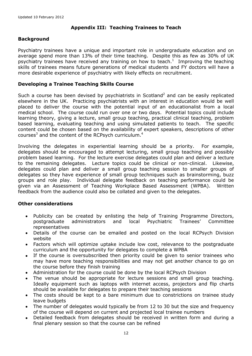## **Appendix III: Teaching Trainees to Teach**

## **Background**

Psychiatry trainees have a unique and important role in undergraduate education and on average spend more than 13% of their time teaching. Despite this as few as 30% of UK psychiatry trainees have received any training on how to teach.<sup>1</sup> Improving the teaching skills of trainees means future generations of medical students and FY doctors will have a more desirable experience of psychiatry with likely effects on recruitment.

## **Developing a Trainee Teaching Skills Course**

Such a course has been devised by psychiatrists in Scotland<sup>2</sup> and can be easily replicated elsewhere in the UK. Practicing psychiatrists with an interest in education would be well placed to deliver the course with the potential input of an educationalist from a local medical school. The course could run over one or two days. Potential topics could include learning theory, giving a lecture, small group teaching, practical clinical teaching, problem based learning, evaluating teaching and using simulated patients to teach. The specific content could be chosen based on the availability of expert speakers, descriptions of other courses<sup>3</sup> and the content of the RCPsych curriculum.<sup>4</sup>

Involving the delegates in experiential learning should be a priority. For example, delegates should be encouraged to attempt lecturing, small group teaching and possibly problem based learning. For the lecture exercise delegates could plan and deliver a lecture to the remaining delegates. Lecture topics could be clinical or non-clinical. Likewise, delegates could plan and deliver a small group teaching session to smaller groups of delegates so they have experience of small group techniques such as brainstorming, buzz groups and role play. Individual delegate feedback on teaching performance could be given via an Assessment of Teaching Workplace Based Assessment (WPBA). Written feedback from the audience could also be collated and given to the delegates.

#### **Other considerations**

- Publicity can be created by enlisting the help of Training Programme Directors, postgraduate administrators and local Psychiatric Trainees' Committee representatives
- Details of the course can be emailed and posted on the local RCPsych Division website
- Factors which will optimize uptake include low cost, relevance to the postgraduate  $\bullet$ curriculum and the opportunity for delegates to complete a WPBA
- If the course is oversubscribed then priority could be given to senior trainees who may have more teaching responsibilities and may not get another chance to go on the course before they finish training
- Administration for the course could be done by the local RCPsych Division
- The venue should be appropriate for lecture sessions and small group teaching. Ideally equipment such as laptops with internet access, projectors and flip charts should be available for delegates to prepare their teaching sessions
- The costs should be kept to a bare minimum due to constrictions on trainee study  $\bullet$ leave budgets
- The number of delegates would typically be from 12 to 30 but the size and frequency of the course will depend on current and projected local trainee numbers
- $\bullet$ Detailed feedback from delegates should be received in written form and during a final plenary session so that the course can be refined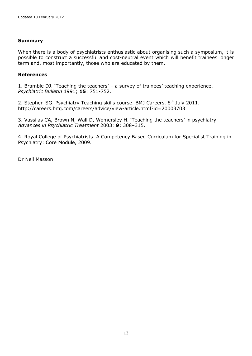#### **Summary**

When there is a body of psychiatrists enthusiastic about organising such a symposium, it is possible to construct a successful and cost-neutral event which will benefit trainees longer term and, most importantly, those who are educated by them.

#### **References**

1. Bramble DJ. 'Teaching the teachers' – a survey of trainees' teaching experience. *Psychiatric Bulletin* 1991; **15**: 751-752.

2. Stephen SG. Psychiatry Teaching skills course. BMJ Careers. 8<sup>th</sup> July 2011. http://careers.bmj.com/careers/advice/view-article.html?id=20003703

3. Vassilas CA, Brown N, Wall D, Womersley H. 'Teaching the teachers' in psychiatry. *Advances in Psychiatric Treatment* 2003: **9**; 308–315.

4. Royal College of Psychiatrists. A Competency Based Curriculum for Specialist Training in Psychiatry: Core Module, 2009.

Dr Neil Masson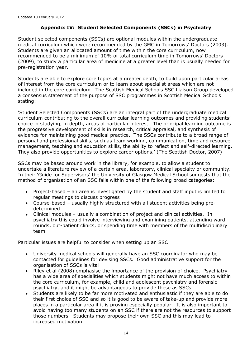## **Appendix IV: Student Selected Components (SSCs) in Psychiatry**

Student selected components (SSCs) are optional modules within the undergraduate medical curriculum which were recommended by the GMC in Tomorrows' Doctors (2003). Students are given an allocated amount of time within the core curriculum, now recommended to be a minimum of 10% of total curriculum time in Tomorrows' Doctors (2009), to study a particular area of medicine at a greater level than is usually needed for pre-registration year.

Students are able to explore core topics at a greater depth, to build upon particular areas of interest from the core curriculum or to learn about specialist areas which are not included in the core curriculum. The Scottish Medical Schools SSC Liaison Group developed a consensus statement of the purpose of SSC programmes in Scottish Medical Schools stating:

'Student Selected Components (SSCs) are an integral part of the undergraduate medical curriculum contributing to the overall curricular learning outcomes and providing students' choice in studying, in depth, areas of particular interest. The principal learning outcome is the progressive development of skills in research, critical appraisal, and synthesis of evidence for maintaining good medical practice. The SSCs contribute to a broad range of personal and professional skills, such as team working, communication, time and resource management, teaching and education skills, the ability to reflect and self-directed learning. They also provide opportunities to explore career options.' (The Scottish Doctor, 2007)

SSCs may be based around work in the library, for example, to allow a student to undertake a literature review of a certain area, laboratory, clinical specialty or community. In their 'Guide for Supervisors' the University of Glasgow Medical School suggests that the method of organisation of an SSC falls within one of the following broad categories:

- Project-based an area is investigated by the student and staff input is limited to regular meetings to discuss progress
- Course-based usually highly structured with all student activities being predetermined
- Clinical modules usually a combination of project and clinical activities. In psychiatry this could involve interviewing and examining patients, attending ward rounds, out-patient clinics, or spending time with members of the multidisciplinary team

Particular issues are helpful to consider when setting up an SSC:

- University medical schools will generally have an SSC coordinator who may be  $\bullet$ contacted for guidelines for devising SSCs. Good administrative support for the organisation of SSCs is vital
- Riley et al (2008) emphasise the importance of the provision of choice. Psychiatry has a wide area of specialities which students might not have much access to within the core curriculum, for example, child and adolescent psychiatry and forensic psychiatry, and it might be advantageous to provide these as SSCs
- Students are likely to be far more motivated and enthusiastic if they are able to do  $\bullet$ their first choice of SSC and so it is good to be aware of take-up and provide more places in a particular area if it is proving especially popular. It is also important to avoid having too many students on an SSC if there are not the resources to support those numbers. Students may propose their own SSC and this may lead to increased motivation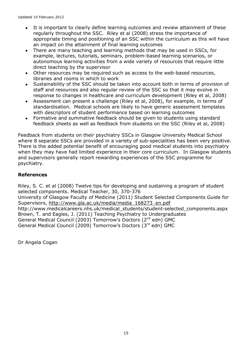- It is important to clearly define learning outcomes and review attainment of these  $\bullet$ regularly throughout the SSC. Riley et al (2008) stress the importance of appropriate timing and positioning of an SSC within the curriculum as this will have an impact on the attainment of final learning outcomes
- There are many teaching and learning methods that may be used in SSCs, for  $\bullet$ example, lectures, tutorials, seminars, problem-based learning scenarios, or autonomous learning activities from a wide variety of resources that require little direct teaching by the supervisor
- Other resources may be required such as access to the web-based resources,  $\bullet$ libraries and rooms in which to work
- Sustainability of the SSC should be taken into account both in terms of provision of staff and resources and also regular review of the SSC so that it may evolve in response to changes in healthcare and curriculum development (Riley et al, 2008)
- $\bullet$ Assessment can present a challenge (Riley et al, 2008), for example, in terms of standardisation. Medical schools are likely to have generic assessment templates with descriptors of student performance based on learning outcomes
- Formative and summative feedback should be given to students using standard feedback sheets as well as feedback from students on the SSC (Riley et al, 2008)

Feedback from students on their psychiatry SSCs in Glasgow University Medical School where 8 separate SSCs are provided in a variety of sub-specialities has been very positive. There is the added potential benefit of encouraging good medical students into psychiatry when they may have had limited experience in their core curriculum. In Glasgow students and supervisors generally report rewarding experiences of the SSC programme for psychiatry.

## **References**

Riley, S. C. et al (2008) Twelve tips for developing and sustaining a program of student selected components. Medical Teacher, 30, 370-376

University of Glasgow Faculty of Medicine (2011) Student Selected Components Guide for Supervisors, [http://www.gla.ac.uk/media/media\\_168273\\_en.pdf](http://www.gla.ac.uk/media/media_168273_en.pdf)

http://www.medicalcareers.nhs.uk/medical\_students/student-selected\_components.aspx Brown, T. and Eagles, J. (2011) Teaching Psychiatry to Undergraduates General Medical Council (2003) Tomorrow's Doctors (2<sup>nd</sup> edn) GMC General Medical Council (2009) Tomorrow's Doctors (3rd edn) GMC

Dr Angela Cogan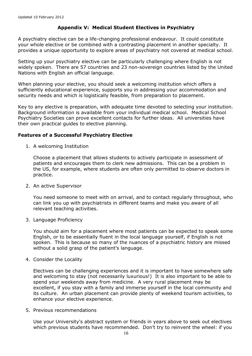## **Appendix V: Medical Student Electives in Psychiatry**

A psychiatry elective can be a life-changing professional endeavour. It could constitute your whole elective or be combined with a contrasting placement in another specialty. It provides a unique opportunity to explore areas of psychiatry not covered at medical school.

Setting up your psychiatry elective can be particularly challenging where English is not widely spoken. There are 57 countries and 23 non-sovereign countries listed by the United Nations with English an official language.

When planning your elective, you should seek a welcoming institution which offers a sufficiently educational experience, supports you in addressing your accommodation and security needs and which is logistically feasible, from preparation to placement.

Key to any elective is preparation, with adequate time devoted to selecting your institution. Background information is available from your individual medical school. Medical School Psychiatry Societies can prove excellent contacts for further ideas. All universities have their own practical guides to elective planning.

#### **Features of a Successful Psychiatry Elective**

1. A welcoming Institution

Choose a placement that allows students to actively participate in assessment of patients and encourages them to clerk new admissions. This can be a problem in the US, for example, where students are often only permitted to observe doctors in practice.

2. An active Supervisor

You need someone to meet with on arrival, and to contact regularly throughout, who can link you up with psychiatrists in different teams and make you aware of all relevant teaching activities.

3. Language Proficiency

You should aim for a placement where most patients can be expected to speak some English, or to be essentially fluent in the local language yourself, if English is not spoken. This is because so many of the nuances of a psychiatric history are missed without a solid grasp of the patient's language.

4. Consider the Locality

Electives can be challenging experiences and it is important to have somewhere safe and welcoming to stay (not necessarily luxurious!) It is also important to be able to spend your weekends away from medicine. A very rural placement may be excellent, if you stay with a family and immerse yourself in the local community and its culture. An urban placement can provide plenty of weekend tourism activities, to enhance your elective experience.

5. Previous recommendations

Use your University's abstract system or friends in years above to seek out electives which previous students have recommended. Don't try to reinvent the wheel: if you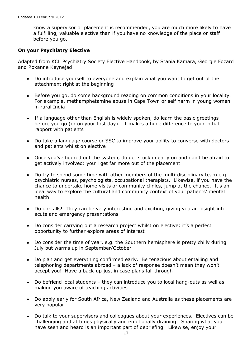know a supervisor or placement is recommended, you are much more likely to have a fulfilling, valuable elective than if you have no knowledge of the place or staff before you go.

#### **On your Psychiatry Elective**

Adapted from KCL Psychiatry Society Elective Handbook, by Stania Kamara, Georgie Fozard and Roxanne Keynejad

- Do introduce yourself to everyone and explain what you want to get out of the  $\bullet$ attachment right at the beginning
- Before you go, do some background reading on common conditions in your locality. For example, methamphetamine abuse in Cape Town or self harm in young women in rural India
- If a language other than English is widely spoken, do learn the basic greetings before you go (or on your first day). It makes a huge difference to your initial rapport with patients
- Do take a language course or SSC to improve your ability to converse with doctors and patients whilst on elective
- Once you've figured out the system, do get stuck in early on and don't be afraid to get actively involved: you'll get far more out of the placement
- Do try to spend some time with other members of the multi-disciplinary team e.g. psychiatric nurses, psychologists, occupational therapists. Likewise, if you have the chance to undertake home visits or community clinics, jump at the chance. It's an ideal way to explore the cultural and community context of your patients' mental health
- Do on-calls! They can be very interesting and exciting, giving you an insight into acute and emergency presentations
- Do consider carrying out a research project whilst on elective: it's a perfect opportunity to further explore areas of interest
- Do consider the time of year, e.g. the Southern hemisphere is pretty chilly during July but warms up in September/October
- Do plan and get everything confirmed early. Be tenacious about emailing and telephoning departments abroad – a lack of response doesn't mean they won't accept you! Have a back-up just in case plans fall through
- Do befriend local students they can introduce you to local hang-outs as well as making you aware of teaching activities
- Do apply early for South Africa, New Zealand and Australia as these placements are very popular
- Do talk to your supervisors and colleagues about your experiences. Electives can be challenging and at times physically and emotionally draining. Sharing what you have seen and heard is an important part of debriefing. Likewise, enjoy your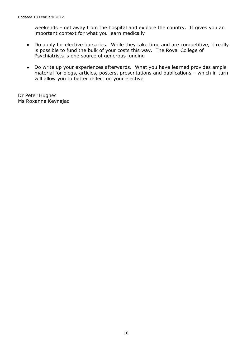weekends – get away from the hospital and explore the country. It gives you an important context for what you learn medically

- Do apply for elective bursaries. While they take time and are competitive, it really is possible to fund the bulk of your costs this way. The Royal College of Psychiatrists is one source of generous funding
- Do write up your experiences afterwards. What you have learned provides ample material for blogs, articles, posters, presentations and publications – which in turn will allow you to better reflect on your elective

Dr Peter Hughes Ms Roxanne Keynejad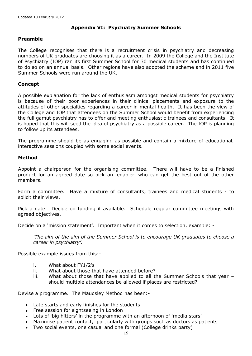## **Appendix VI: Psychiatry Summer Schools**

#### **Preamble**

The College recognises that there is a recruitment crisis in psychiatry and decreasing numbers of UK graduates are choosing it as a career. In 2009 the College and the Institute of Psychiatry (IOP) ran its first Summer School for 30 medical students and has continued to do so on an annual basis. Other regions have also adopted the scheme and in 2011 five Summer Schools were run around the UK.

#### **Concept**

A possible explanation for the lack of enthusiasm amongst medical students for psychiatry is because of their poor experiences in their clinical placements and exposure to the attitudes of other specialties regarding a career in mental health. It has been the view of the College and IOP that attendees on the Summer School would benefit from experiencing the full gamut psychiatry has to offer and meeting enthusiastic trainees and consultants. It is hoped that this will seed the idea of psychiatry as a possible career. The IOP is planning to follow up its attendees.

The programme should be as engaging as possible and contain a mixture of educational, interactive sessions coupled with some social events.

#### **Method**

Appoint a chairperson for the organising committee. There will have to be a finished product for an agreed date so pick an 'enabler' who can get the best out of the other members.

Form a committee. Have a mixture of consultants, trainees and medical students - to solicit their views.

Pick a date. Decide on funding if available. Schedule regular committee meetings with agreed objectives.

Decide on a 'mission statement'. Important when it comes to selection, example: -

*'The aim of the aim of the Summer School is to encourage UK graduates to choose a career in psychiatry'.*

Possible example issues from this:-

- i. What about FY1/2's
- ii. What about those that have attended before?
- iii. What about those that have applied to all the Summer Schools that year should multiple attendances be allowed if places are restricted?

Devise a programme. The Maudsley Method has been:-

- Late starts and early finishes for the students
- Free session for sightseeing in London
- Lots of 'big hitters' in the programme with an afternoon of 'media stars'
- Maximise patient contact, particularly with groups such as doctors as patients
- Two social events, one casual and one formal (College drinks party)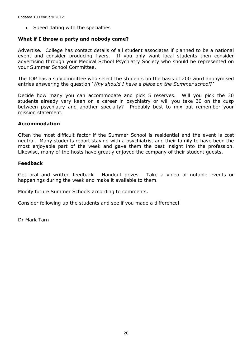• Speed dating with the specialties

#### **What if I throw a party and nobody came?**

Advertise. College has contact details of all student associates if planned to be a national event and consider producing flyers. If you only want local students then consider advertising through your Medical School Psychiatry Society who should be represented on your Summer School Committee.

The IOP has a subcommittee who select the students on the basis of 200 word anonymised entries answering the question *'Why should I have a place on the Summer school?'*

Decide how many you can accommodate and pick 5 reserves. Will you pick the 30 students already very keen on a career in psychiatry or will you take 30 on the cusp between psychiatry and another specialty? Probably best to mix but remember your mission statement.

#### **Accommodation**

Often the most difficult factor if the Summer School is residential and the event is cost neutral. Many students report staying with a psychiatrist and their family to have been the most enjoyable part of the week and gave them the best insight into the profession. Likewise, many of the hosts have greatly enjoyed the company of their student guests.

#### **Feedback**

Get oral and written feedback. Handout prizes. Take a video of notable events or happenings during the week and make it available to them.

Modify future Summer Schools according to comments.

Consider following up the students and see if you made a difference!

Dr Mark Tarn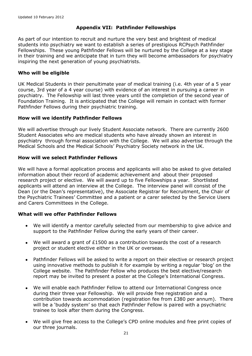## **Appendix VII: Pathfinder Fellowships**

As part of our intention to recruit and nurture the very best and brightest of medical students into psychiatry we want to establish a series of prestigious RCPsych Pathfinder Fellowships. These young Pathfinder Fellows will be nurtured by the College at a key stage in their training and we anticipate that in turn they will become ambassadors for psychiatry inspiring the next generation of young psychiatrists.

#### **Who will be eligible**

UK Medical Students in their penultimate year of medical training (i.e. 4th year of a 5 year course, 3rd year of a 4 year course) with evidence of an interest in pursuing a career in psychiatry. The Fellowship will last three years until the completion of the second year of Foundation Training. It is anticipated that the College will remain in contact with former Pathfinder Fellows during their psychiatric training.

#### **How will we identify Pathfinder Fellows**

We will advertise through our lively Student Associate network. There are currently 2600 Student Associates who are medical students who have already shown an interest in psychiatry through formal association with the College. We will also advertise through the Medical Schools and the Medical Schools' Psychiatry Society network in the UK.

#### **How will we select Pathfinder Fellows**

We will have a formal application process and applicants will also be asked to give detailed information about their record of academic achievement and about their proposed research project or elective. We will award up to five Fellowships a year. Shortlisted applicants will attend an interview at the College. The interview panel will consist of the Dean (or the Dean's representative), the Associate Registrar for Recruitment, the Chair of the Psychiatric Trainees' Committee and a patient or a carer selected by the Service Users and Carers Committees in the College.

#### **What will we offer Pathfinder Fellows**

- We will identify a mentor carefully selected from our membership to give advice and support to the Pathfinder Fellow during the early years of their career.
- We will award a grant of £1500 as a contribution towards the cost of a research project or student elective either in the UK or overseas.
- Pathfinder Fellows will be asked to write a report on their elective or research project  $\bullet$ using innovative methods to publish it for example by writing a regular 'blog' on the College website. The Pathfinder Fellow who produces the best elective/research report may be invited to present a poster at the College's International Congress.
- We will enable each Pathfinder Fellow to attend our International Congress once during their three year Fellowship. We will provide free registration and a contribution towards accommodation (registration fee from £380 per annum). There will be a 'buddy system' so that each Pathfinder Fellow is paired with a psychiatric trainee to look after them during the Congress.
- We will give free access to the College's CPD online modules and free print copies of our three journals.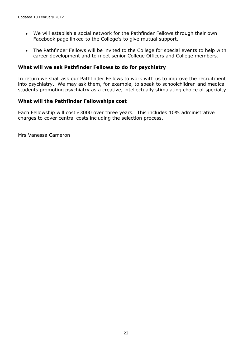- We will establish a social network for the Pathfinder Fellows through their own  $\bullet$ Facebook page linked to the College's to give mutual support.
- The Pathfinder Fellows will be invited to the College for special events to help with career development and to meet senior College Officers and College members.

#### **What will we ask Pathfinder Fellows to do for psychiatry**

In return we shall ask our Pathfinder Fellows to work with us to improve the recruitment into psychiatry. We may ask them, for example, to speak to schoolchildren and medical students promoting psychiatry as a creative, intellectually stimulating choice of specialty.

#### **What will the Pathfinder Fellowships cost**

Each Fellowship will cost £3000 over three years. This includes 10% administrative charges to cover central costs including the selection process.

Mrs Vanessa Cameron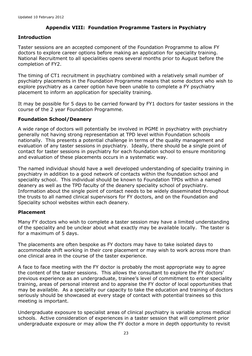## **Appendix VIII: Foundation Programme Tasters in Psychiatry**

## **Introduction**

Taster sessions are an accepted component of the Foundation Programme to allow FY doctors to explore career options before making an application for speciality training. National Recruitment to all specialities opens several months prior to August before the completion of FY2.

The timing of CT1 recruitment in psychiatry combined with a relatively small number of psychiatry placements in the Foundation Programme means that some doctors who wish to explore psychiatry as a career option have been unable to complete a FY psychiatry placement to inform an application for speciality training.

It may be possible for 5 days to be carried forward by FY1 doctors for taster sessions in the course of the 2 year Foundation Programme.

#### **Foundation School/Deanery**

A wide range of doctors will potentially be involved in PGME in psychiatry with psychiatry generally not having strong representation at TPD level within Foundation schools nationally. This presents a potential challenge in terms of the quality management and evaluation of any taster sessions in psychiatry. Ideally, there should be a single point of contact for taster sessions in psychiatry for each foundation school to ensure monitoring and evaluation of these placements occurs in a systematic way.

The named individual should have a well developed understanding of speciality training in psychiatry in addition to a good network of contacts within the foundation school and speciality school. This individual should be known to Foundation TPDs within a named deanery as well as the TPD faculty of the deanery speciality school of psychiatry. Information about the single point of contact needs to be widely disseminated throughout the trusts to all named clinical supervisors for FY doctors, and on the Foundation and Speciality school websites within each deanery.

#### **Placement**

Many FY doctors who wish to complete a taster session may have a limited understanding of the speciality and be unclear about what exactly may be available locally. The taster is for a maximum of 5 days.

The placements are often bespoke as FY doctors may have to take isolated days to accommodate shift working in their core placement or may wish to work across more than one clinical area in the course of the taster experience.

A face to face meeting with the FY doctor is probably the most appropriate way to agree the content of the taster sessions. This allows the consultant to explore the FY doctors' previous experience as an undergraduate, trainee's level of commitment to enter speciality training, areas of personal interest and to appraise the FY doctor of local opportunities that may be available. As a speciality our capacity to take the education and training of doctors seriously should be showcased at every stage of contact with potential trainees so this meeting is important.

Undergraduate exposure to specialist areas of clinical psychiatry is variable across medical schools. Active consideration of experiences in a taster session that will compliment prior undergraduate exposure or may allow the FY doctor a more in depth opportunity to revisit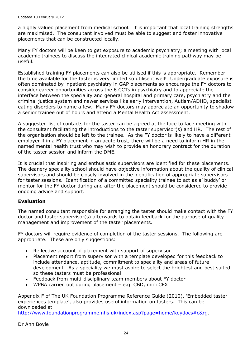a highly valued placement from medical school. It is important that local training strengths are maximised. The consultant involved must be able to suggest and foster innovative placements that can be constructed locally.

Many FY doctors will be keen to get exposure to academic psychiatry; a meeting with local academic trainees to discuss the integrated clinical academic training pathway may be useful.

Established training FY placements can also be utilised if this is appropriate. Remember the time available for the taster is very limited so utilise it well! Undergraduate exposure is often dominated by inpatient psychiatry in GAP placements so encourage the FY doctors to consider career opportunities across the 6 CCTs in psychiatry and to appreciate the interface between the speciality and general hospital and primary care, psychiatry and the criminal justice system and newer services like early intervention, Autism/ADHD, specialist eating disorders to name a few. Many FY doctors may appreciate an opportunity to shadow a senior trainee out of hours and attend a Mental Health Act assessment.

A suggested list of contacts for the taster can be agreed at the face to face meeting with the consultant facilitating the introductions to the taster supervisor(s) and HR. The rest of the organisation should be left to the trainee. As the FY doctor is likely to have a different employer if in a FY placement in an acute trust, there will be a need to inform HR in the named mental health trust who may wish to provide an honorary contract for the duration of the taster session and inform the DME.

It is crucial that inspiring and enthusiastic supervisors are identified for these placements. The deanery speciality school should have objective information about the quality of clinical supervisors and should be closely involved in the identification of appropriate supervisors for taster sessions. Identification of a committed speciality trainee to act as a' buddy' or mentor for the FY doctor during and after the placement should be considered to provide ongoing advice and support.

#### **Evaluation**

The named consultant responsible for arranging the taster should make contact with the FY doctor and taster supervisor(s) afterwards to obtain feedback for the purpose of quality management and improvement of the taster placements.

FY doctors will require evidence of completion of the taster sessions. The following are appropriate. These are only suggestions:

- Reflective account of placement with support of supervisor
- Placement report from supervisor with a template developed for this feedback to include attendance, aptitude, commitment to speciality and areas of future development. As a speciality we must aspire to select the brightest and best suited so these tasters must be professional
- Feedback from multi-disciplinary team members about FY doctor
- WPBA carried out during placement e.g. CBD, mini CEX

Appendix F of The UK Foundation Programme Reference Guide (2010), 'Embedded taster experiences template', also provides useful information on tasters. This can be downloaded at

[http://www.foundationprogramme.nhs.uk/index.asp?page=home/keydocs#c&rg.](http://www.foundationprogramme.nhs.uk/index.asp?page=home/keydocs#c&rg)

Dr Ann Boyle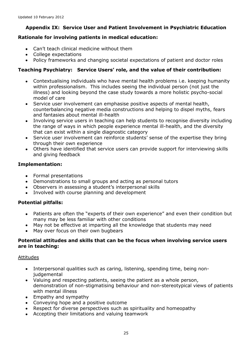## **Appendix IX: Service User and Patient Involvement in Psychiatric Education**

## **Rationale for involving patients in medical education:**

- Can't teach clinical medicine without them
- College expectations
- Policy frameworks and changing societal expectations of patient and doctor roles

## **Teaching Psychiatry: Service Users' role, and the value of their contribution:**

- Contextualising individuals who have mental health problems i.e. keeping humanity  $\bullet$ within professionalism. This includes seeing the individual person (not just the illness) and looking beyond the case study towards a more holistic psycho-social model of care
- Service user involvement can emphasise positive aspects of mental health, counterbalancing negative media constructions and helping to dispel myths, fears and fantasies about mental ill-health
- Involving service users in teaching can help students to recognise diversity including  $\bullet$ the range of ways in which people experience mental ill-health, and the diversity that can exist within a single diagnostic category
- Service user involvement can reinforce students' sense of the expertise they bring  $\bullet$ through their own experience
- Others have identified that service users can provide support for interviewing skills and giving feedback

#### **Implementation:**

- Formal presentations
- Demonstrations to small groups and acting as personal tutors
- Observers in assessing a student's interpersonal skills
- Involved with course planning and development  $\bullet$

#### **Potential pitfalls:**

- Patients are often the "experts of their own experience" and even their condition but  $\bullet$ many may be less familiar with other conditions
- May not be effective at imparting all the knowledge that students may need  $\bullet$
- May over focus on their own bugbears

#### **Potential attitudes and skills that can be the focus when involving service users are in teaching:**

#### Attitudes

- Interpersonal qualities such as caring, listening, spending time, being nonjudgemental
- Valuing and respecting patients, seeing the patient as a whole person, demonstration of non-stigmatising behaviour and non-stereotypical views of patients with mental illness
- Empathy and sympathy
- Conveying hope and a positive outcome
- Respect for diverse perspectives such as spirituality and homeopathy
- Accepting their limitations and valuing teamwork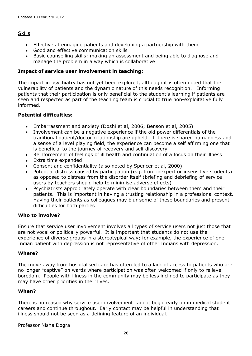#### Skills

- Effective at engaging patients and developing a partnership with them
- Good and effective communication skills
- Basic counselling skills; making an assessment and being able to diagnose and manage the problem in a way which is collaborative

#### **Impact of service user involvement in teaching:**

The impact in psychiatry has not yet been explored, although it is often noted that the vulnerability of patients and the dynamic nature of this needs recognition. Informing patients that their participation is only beneficial to the student's learning if patients are seen and respected as part of the teaching team is crucial to true non-exploitative fully informed.

#### **Potential difficulties:**

- Embarrassment and anxiety (Doshi et al, 2006; Benson et al, 2005)
- Involvement can be a negative experience if the old power differentials of the traditional patient/doctor relationship are upheld. If there is shared humanness and a sense of a level playing field, the experience can become a self affirming one that is beneficial to the journey of recovery and self discovery
- Reinforcement of feelings of ill health and continuation of a focus on their illness  $\bullet$
- Extra time expended
- Consent and confidentiality (also noted by Spencer et al, 2000)
- Potential distress caused by participation (e.g. from inexpert or insensitive students) as opposed to distress from the disorder itself (briefing and debriefing of service users by teachers should help to minimise adverse effects)
- Psychiatrists appropriately operate with clear boundaries between them and their patients. This is important in having a trusting relationship in a professional context. Having their patients as colleagues may blur some of these boundaries and present difficulties for both parties

#### **Who to involve?**

Ensure that service user involvement involves all types of service users not just those that are not vocal or politically powerful. It is important that students do not use the experience of diverse groups in a stereotypical way; for example, the experience of one Indian patient with depression is not representative of other Indians with depression.

#### **Where?**

The move away from hospitalised care has often led to a lack of access to patients who are no longer "captive" on wards where participation was often welcomed if only to relieve boredom. People with illness in the community may be less inclined to participate as they may have other priorities in their lives.

#### **When?**

There is no reason why service user involvement cannot begin early on in medical student careers and continue throughout. Early contact may be helpful in understanding that illness should not be seen as a defining feature of an individual.

Professor Nisha Dogra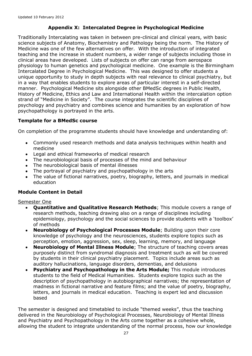## **Appendix X: Intercalated Degree in Psychological Medicine**

Traditionally Intercalating was taken in between pre-clinical and clinical years, with basic science subjects of Anatomy, Biochemistry and Pathology being the norm. The History of Medicine was one of the few alternatives on offer. With the introduction of integrated teaching and the increase in student numbers, a wider range of subjects including those in clinical areas have developed. Lists of subjects on offer can range from aerospace physiology to human genetics and psychological medicine. One example is the Birmingham Intercalated Degree in Psychological Medicine. This was designed to offer students a unique opportunity to study in depth subjects with real relevance to clinical psychiatry, but in a way that enables students to explore areas of particular interest in a self-directed manner. Psychological Medicine sits alongside other BMedSc degrees in Public Health, History of Medicine, Ethics and Law and International Health within the intercalation option strand of "Medicine in Society". The course integrates the scientific disciplines of psychology and psychiatry and combines science and humanities by an exploration of how psychopathology is portrayed in the arts.

#### **Template for a BMedSc course**

On completion of the programme students should have knowledge and understanding of:

- $\bullet$ Commonly used research methods and data analysis techniques within health and medicine
- Legal and ethical frameworks of medical research
- The neurobiological basis of processes of the mind and behaviour
- The neurobiological basis of mental illnesses
- The portrayal of psychiatry and psychopathology in the arts
- The value of fictional narratives, poetry, biography, letters, and journals in medical education

#### **Module Content in Detail**

Semester One

- **Quantitative and Qualitative Research Methods**; This module covers a range of  $\bullet$ research methods, teaching drawing also on a range of disciplines including epidemiology, psychology and the social sciences to provide students with a 'toolbox' of methods
- **Neurobiology of Psychological Processes Module**; Building upon their core  $\bullet$ knowledge of psychology and the neurosciences, students explore topics such as perception, emotion, aggression, sex, sleep, learning, memory, and language
- **Neurobiology of Mental Illness Module**; The structure of teaching covers areas purposely distinct from syndromal diagnosis and treatment such as will be covered by students in their clinical psychiatry placement. Topics include areas such as auditory hallucinations, language disorders, dementias, and delusions
- **Psychiatry and Psychopathology in the Arts Module;** This module introduces students to the field of Medical Humanities. Students explore topics such as the description of psychopathology in autobiographical narratives; the representation of madness in fictional narrative and feature films; and the value of poetry, biography, letters, and journals in medical education. Teaching is expert led and discussion based

The semester is designed and timetabled to include "themed weeks", thus the teaching delivered in the Neurobiology of Psychological Processes, Neurobiology of Mental Illness and Psychiatry and Psychopathology in the Arts come together as a cohesive whole, allowing the student to integrate understanding of the normal process, how our knowledge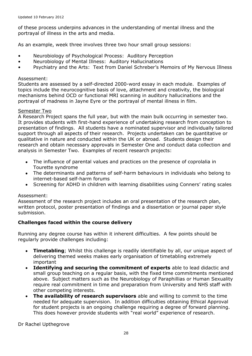of these process underpins advances in the understanding of mental illness and the portrayal of illness in the arts and media.

As an example, week three involves three two hour small group sessions:

- Neurobiology of Psychological Process: Auditory Perception
- Neurobiology of Mental Illness: Auditory Hallucinations
- Psychiatry and the Arts: Text from Daniel Schreber's Memoirs of My Nervous Illness

#### Assessment:

Students are assessed by a self-directed 2000-word essay in each module. Examples of topics include the neurocognitive basis of love, attachment and creativity, the biological mechanisms behind OCD or functional MRI scanning in auditory hallucinations and the portrayal of madness in Jayne Eyre or the portrayal of mental illness in film.

#### Semester Two

A Research Project spans the full year, but with the main bulk occurring in semester two. It provides students with first-hand experience of undertaking research from conception to presentation of findings. All students have a nominated supervisor and individually tailored support through all aspects of their research. Projects undertaken can be quantitative or qualitative in nature and conducted within the UK or abroad. Students design their research and obtain necessary approvals in Semester One and conduct data collection and analysis in Semester Two. Examples of recent research projects:

- The influence of parental values and practices on the presence of coprolalia in Tourette syndrome
- The determinants and patterns of self-harm behaviours in individuals who belong to internet-based self-harm forums
- Screening for ADHD in children with learning disabilities using Conners' rating scales

#### Assessment:

Assessment of the research project includes an oral presentation of the research plan, written protocol, poster presentation of findings and a dissertation or journal paper style submission.

#### **Challenges faced within the course delivery**

Running any degree course has within it inherent difficulties. A few points should be regularly provide challenges including:

- **Timetabling**; Whilst this challenge is readily identifiable by all, our unique aspect of  $\bullet$ delivering themed weeks makes early organisation of timetabling extremely important
- **Identifying and securing the commitment of experts** able to lead didactic and  $\bullet$ small group teaching on a regular basis, with the fixed time commitments mentioned above. Subject matters such as the Neurobiology of Paraphillias or Human Sexuality require real commitment in time and preparation from University and NHS staff with other competing interests.
- **The availability of research supervisors** able and willing to commit to the time  $\bullet$ needed for adequate supervision. In addition difficulties obtaining Ethical Approval for student projects is an ongoing challenge requiring a degree of forward planning. This does however provide students with "real world" experience of research.

Dr Rachel Upthegrove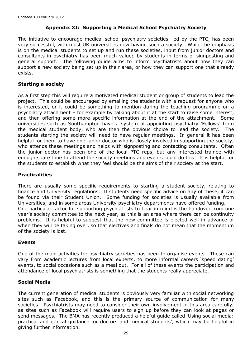## **Appendix XI: Supporting a Medical School Psychiatry Society**

The initiative to encourage medical school psychiatry societies, led by the PTC, has been very successful, with most UK universities now having such a society. While the emphasis is on the medical students to set up and run these societies, input from junior doctors and consultants in psychiatry has been much valued by students in terms of signposting and general support. The following guide aims to inform psychiatrists about how they can support a new society being set up in their area, or how they can support one that already exists.

#### **Starting a society**

As a first step this will require a motivated medical student or group of students to lead the project. This could be encouraged by emailing the students with a request for anyone who is interested, or it could be something to mention during the teaching programme on a psychiatry attachment – for example by talking about it at the start to raise some interest, and then offering some more specific information at the end of the attachment. Some universities such as Southampton have a system of appointing psychiatry 'Fellows' from the medical student body, who are then the obvious choice to lead the society. The students starting the society will need to have regular meetings. In general it has been helpful for them to have one junior doctor who is closely involved in supporting the society, who attends these meetings and helps with signposting and contacting consultants. Often the junior doctor has been one of the local PTC reps, but any interested trainee with enough spare time to attend the society meetings and events could do this. It is helpful for the students to establish what they feel should be the aims of their society at the start.

#### **Practicalities**

There are usually some specific requirements to starting a student society, relating to finance and University regulations. If students need specific advice on any of these, it can be found via their Student Union. Some funding for societies is usually available from Universities, and in some areas University psychiatry departments have offered funding. One particular factor for supporting psychiatrists to bear in mind is the handover from one year's society committee to the next year, as this is an area where there can be continuity problems. It is helpful to suggest that the new committee is elected well in advance of when they will be taking over, so that electives and finals do not mean that the momentum of the society is lost.

#### **Events**

One of the main activities for psychiatry societies has been to organise events. These can vary from academic lectures from local experts, to more informal careers 'speed dating' events, to social occasions such as a meal out. For all of these events the participation and attendance of local psychiatrists is something that the students really appreciate.

#### **Social Media**

The current generation of medical students is obviously very familiar with social networking sites such as Facebook, and this is the primary source of communication for many societies. Psychiatrists may need to consider their own involvement in this area carefully, as sites such as Facebook will require users to sign up before they can look at pages or send messages. The BMA has recently produced a helpful guide called 'Using social media: practical and ethical guidance for doctors and medical students', which may be helpful in giving further information.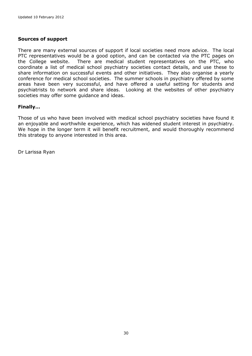#### **Sources of support**

There are many external sources of support if local societies need more advice. The local PTC representatives would be a good option, and can be contacted via the PTC pages on the College website. There are medical student representatives on the PTC, who coordinate a list of medical school psychiatry societies contact details, and use these to share information on successful events and other initiatives. They also organise a yearly conference for medical school societies. The summer schools in psychiatry offered by some areas have been very successful, and have offered a useful setting for students and psychiatrists to network and share ideas. Looking at the websites of other psychiatry societies may offer some guidance and ideas.

#### **Finally…**

Those of us who have been involved with medical school psychiatry societies have found it an enjoyable and worthwhile experience, which has widened student interest in psychiatry. We hope in the longer term it will benefit recruitment, and would thoroughly recommend this strategy to anyone interested in this area.

Dr Larissa Ryan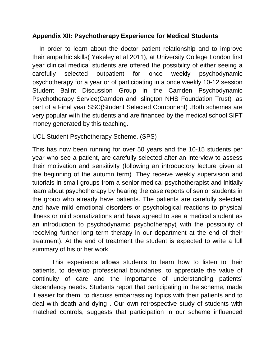## **Appendix XII: Psychotherapy Experience for Medical Students**

In order to learn about the doctor patient relationship and to improve their empathic skills( Yakeley et al 2011), at University College London first year clinical medical students are offered the possibility of either seeing a carefully selected outpatient for once weekly psychodynamic psychotherapy for a year or of participating in a once weekly 10-12 session Student Balint Discussion Group in the Camden Psychodynamic Psychotherapy Service(Camden and Islington NHS Foundation Trust) ,as part of a Final year SSC(Student Selected Component) .Both schemes are very popular with the students and are financed by the medical school SIFT money generated by this teaching.

UCL Student Psychotherapy Scheme. (SPS)

This has now been running for over 50 years and the 10-15 students per year who see a patient, are carefully selected after an interview to assess their motivation and sensitivity (following an introductory lecture given at the beginning of the autumn term). They receive weekly supervision and tutorials in small groups from a senior medical psychotherapist and initially learn about psychotherapy by hearing the case reports of senior students in the group who already have patients. The patients are carefully selected and have mild emotional disorders or psychological reactions to physical illness or mild somatizations and have agreed to see a medical student as an introduction to psychodynamic psychotherapy( with the possibility of receiving further long term therapy in our department at the end of their treatment). At the end of treatment the student is expected to write a full summary of his or her work.

 This experience allows students to learn how to listen to their patients, to develop professional boundaries, to appreciate the value of continuity of care and the importance of understanding patients' dependency needs. Students report that participating in the scheme, made it easier for them to discuss embarrassing topics with their patients and to deal with death and dying . Our own retrospective study of students with matched controls, suggests that participation in our scheme influenced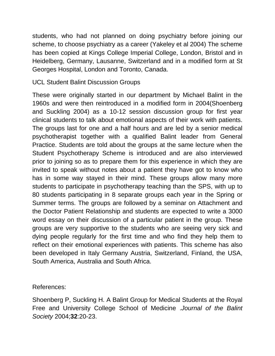students, who had not planned on doing psychiatry before joining our scheme, to choose psychiatry as a career (Yakeley et al 2004) The scheme has been copied at Kings College Imperial College, London, Bristol and in Heidelberg, Germany, Lausanne, Switzerland and in a modified form at St Georges Hospital, London and Toronto, Canada.

UCL Student Balint Discussion Groups

These were originally started in our department by Michael Balint in the 1960s and were then reintroduced in a modified form in 2004(Shoenberg and Suckling 2004) as a 10-12 session discussion group for first year clinical students to talk about emotional aspects of their work with patients. The groups last for one and a half hours and are led by a senior medical psychotherapist together with a qualified Balint leader from General Practice. Students are told about the groups at the same lecture when the Student Psychotherapy Scheme is introduced and are also interviewed prior to joining so as to prepare them for this experience in which they are invited to speak without notes about a patient they have got to know who has in some way stayed in their mind. These groups allow many more students to participate in psychotherapy teaching than the SPS, with up to 80 students participating in 8 separate groups each year in the Spring or Summer terms. The groups are followed by a seminar on Attachment and the Doctor Patient Relationship and students are expected to write a 3000 word essay on their discussion of a particular patient in the group. These groups are very supportive to the students who are seeing very sick and dying people regularly for the first time and who find they help them to reflect on their emotional experiences with patients. This scheme has also been developed in Italy Germany Austria, Switzerland, Finland, the USA, South America, Australia and South Africa.

References:

Shoenberg P, Suckling H. A Balint Group for Medical Students at the Royal Free and University College School of Medicine .*Journal of the Balint Society* 2004;**32**:20-23.